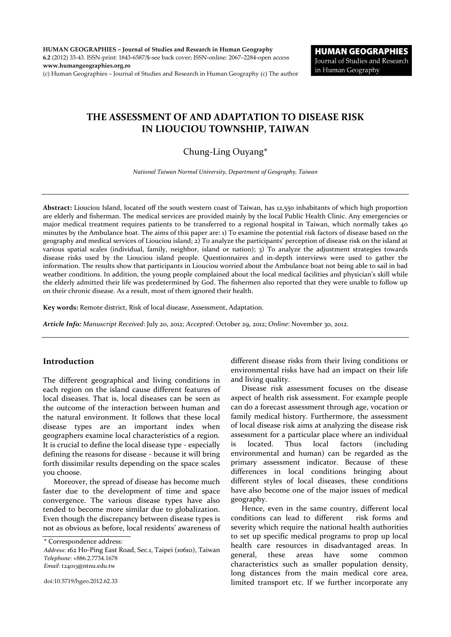**HUMAN GEOGRAPHIES – Journal of Studies and Research in Human Geography 6.2** (2012) 33-43. ISSN-print: 1843-6587/\$-see back cover; ISSN-online: 2067–2284-open access **www.humangeographies.org.ro**

(c) Human Geographies – Journal of Studies and Research in Human Geography (c) The author

# **THE ASSESSMENT OF AND ADAPTATION TO DISEASE RISK IN LIOUCIOU TOWNSHIP, TAIWAN**

# Chung-Ling Ouyang\*

*National Taiwan Normal University, Department of Geography, Taiwan*

**Abstract:** Liouciou Island, located off the south western coast of Taiwan, has 12,550 inhabitants of which high proportion are elderly and fisherman. The medical services are provided mainly by the local Public Health Clinic. Any emergencies or major medical treatment requires patients to be transferred to a regional hospital in Taiwan, which normally takes 40 minutes by the Ambulance boat. The aims of this paper are: 1) To examine the potential risk factors of disease based on the geography and medical services of Liouciou island; 2) To analyze the participants' perception of disease risk on the island at various spatial scales (individual, family, neighbor, island or nation); 3) To analyze the adjustment strategies towards disease risks used by the Liouciou island people. Questionnaires and in-depth interviews were used to gather the information. The results show that participants in Liouciou worried about the Ambulance boat not being able to sail in bad weather conditions. In addition, the young people complained about the local medical facilities and physician's skill while the elderly admitted their life was predetermined by God. The fishermen also reported that they were unable to follow up on their chronic disease. As a result, most of them ignored their health.

**Key words:** Remote district, Risk of local disease, Assessment, Adaptation.

*Article Info: Manuscript Received*: July 20, 2012; *Accepted*: October 29, 2012; *Online*: November 30, 2012.

## **Introduction**

The different geographical and living conditions in each region on the island cause different features of local diseases. That is, local diseases can be seen as the outcome of the interaction between human and the natural environment. It follows that these local disease types are an important index when geographers examine local characteristics of a region. It is crucial to define the local disease type - especially defining the reasons for disease - because it will bring forth dissimilar results depending on the space scales you choose.

Moreover, the spread of disease has become much faster due to the development of time and space convergence. The various disease types have also tended to become more similar due to globalization. Even though the discrepancy between disease types is not as obvious as before, local residents' awareness of

\* Correspondence address:

different disease risks from their living conditions or environmental risks have had an impact on their life and living quality.

Disease risk assessment focuses on the disease aspect of health risk assessment. For example people can do a forecast assessment through age, vocation or family medical history. Furthermore, the assessment of local disease risk aims at analyzing the disease risk assessment for a particular place where an individual is located. Thus local factors (including environmental and human) can be regarded as the primary assessment indicator. Because of these differences in local conditions bringing about different styles of local diseases, these conditions have also become one of the major issues of medical geography.

Hence, even in the same country, different local conditions can lead to different risk forms and severity which require the national health authorities to set up specific medical programs to prop up local health care resources in disadvantaged areas. In general, these areas have some common characteristics such as smaller population density, long distances from the main medical core area, limited transport etc. If we further incorporate any

*Address*: 162 Ho-Ping East Road, Sec.1, Taipei (10610), Taiwan *Telephone*: +886.2.7734.1678 *Email*: t24013@ntnu.edu.tw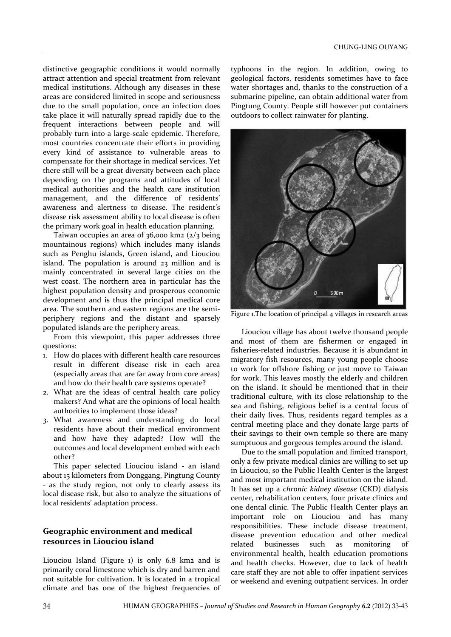distinctive geographic conditions it would normally attract attention and special treatment from relevant medical institutions. Although any diseases in these areas are considered limited in scope and seriousness due to the small population, once an infection does take place it will naturally spread rapidly due to the frequent interactions between people and will probably turn into a large-scale epidemic. Therefore, most countries concentrate their efforts in providing every kind of assistance to vulnerable areas to compensate for their shortage in medical services. Yet there still will be a great diversity between each place depending on the programs and attitudes of local medical authorities and the health care institution management, and the difference of residents' awareness and alertness to disease. The resident's disease risk assessment ability to local disease is often the primary work goal in health education planning.

Taiwan occupies an area of  $36,000$  km2  $\left(\frac{2}{3}\right)$  being mountainous regions) which includes many islands such as Penghu islands, Green island, and Liouciou island. The population is around 23 million and is mainly concentrated in several large cities on the west coast. The northern area in particular has the highest population density and prosperous economic development and is thus the principal medical core area. The southern and eastern regions are the semiperiphery regions and the distant and sparsely populated islands are the periphery areas.

From this viewpoint, this paper addresses three questions:

- 1. How do places with different health care resources result in different disease risk in each area (especially areas that are far away from core areas) and how do their health care systems operate?
- 2. What are the ideas of central health care policy makers? And what are the opinions of local health authorities to implement those ideas?
- 3. What awareness and understanding do local residents have about their medical environment and how have they adapted? How will the outcomes and local development embed with each other?

This paper selected Liouciou island - an island about 15 kilometers from Donggang, Pingtung County - as the study region, not only to clearly assess its local disease risk, but also to analyze the situations of local residents' adaptation process.

## **Geographic environment and medical resources in Liouciou island**

Liouciou Island (Figure 1) is only 6.8 km2 and is primarily coral limestone which is dry and barren and not suitable for cultivation. It is located in a tropical climate and has one of the highest frequencies of

typhoons in the region. In addition, owing to geological factors, residents sometimes have to face water shortages and, thanks to the construction of a submarine pipeline, can obtain additional water from Pingtung County. People still however put containers outdoors to collect rainwater for planting.



Figure 1.The location of principal 4 villages in research areas

Liouciou village has about twelve thousand people and most of them are fishermen or engaged in fisheries-related industries. Because it is abundant in migratory fish resources, many young people choose to work for offshore fishing or just move to Taiwan for work. This leaves mostly the elderly and children on the island. It should be mentioned that in their traditional culture, with its close relationship to the sea and fishing, religious belief is a central focus of their daily lives. Thus, residents regard temples as a central meeting place and they donate large parts of their savings to their own temple so there are many sumptuous and gorgeous temples around the island.

Due to the small population and limited transport, only a few private medical clinics are willing to set up in Liouciou, so the Public Health Center is the largest and most important medical institution on the island. It has set up a *chronic kidney disease* (CKD) dialysis center, rehabilitation centers, four private clinics and one dental clinic. The Public Health Center plays an important role on Liouciou and has many responsibilities. These include disease treatment, disease prevention education and other medical related businesses such as monitoring of environmental health, health education promotions and health checks. However, due to lack of health care staff they are not able to offer inpatient services or weekend and evening outpatient services. In order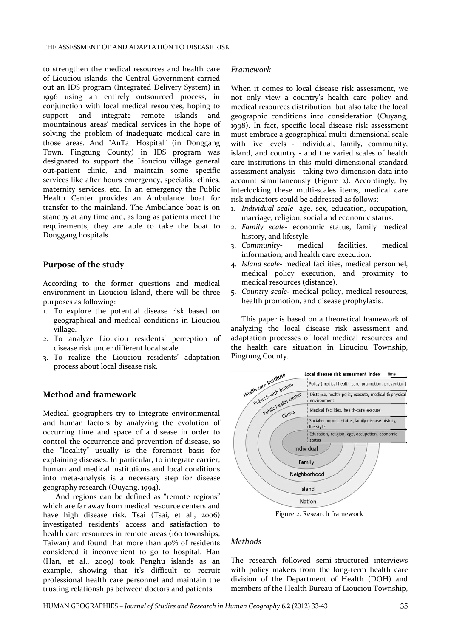to strengthen the medical resources and health care of Liouciou islands, the Central Government carried out an IDS program (Integrated Delivery System) in 1996 using an entirely outsourced process, in conjunction with local medical resources, hoping to support and integrate remote islands and mountainous areas' medical services in the hope of solving the problem of inadequate medical care in those areas. And "AnTai Hospital" (in Donggang Town, Pingtung County) in IDS program was designated to support the Liouciou village general out-patient clinic, and maintain some specific services like after hours emergency, specialist clinics, maternity services, etc. In an emergency the Public Health Center provides an Ambulance boat for transfer to the mainland. The Ambulance boat is on standby at any time and, as long as patients meet the requirements, they are able to take the boat to Donggang hospitals.

### **Purpose of the study**

According to the former questions and medical environment in Liouciou Island, there will be three purposes as following:

- 1. To explore the potential disease risk based on geographical and medical conditions in Liouciou village.
- 2. To analyze Liouciou residents' perception of disease risk under different local scale.
- 3. To realize the Liouciou residents' adaptation process about local disease risk.

### **Method and framework**

Medical geographers try to integrate environmental and human factors by analyzing the evolution of occurring time and space of a disease in order to control the occurrence and prevention of disease, so the "locality" usually is the foremost basis for explaining diseases. In particular, to integrate carrier, human and medical institutions and local conditions into meta-analysis is a necessary step for disease geography research (Ouyang, 1994).

And regions can be defined as "remote regions" which are far away from medical resource centers and have high disease risk. Tsai (Tsai, et al., 2006) investigated residents' access and satisfaction to health care resources in remote areas (160 townships, Taiwan) and found that more than 40% of residents considered it inconvenient to go to hospital. Han (Han, et al., 2009) took Penghu islands as an example, showing that it's difficult to recruit professional health care personnel and maintain the trusting relationships between doctors and patients.

### *Framework*

When it comes to local disease risk assessment, we not only view a country's health care policy and medical resources distribution, but also take the local geographic conditions into consideration (Ouyang, 1998). In fact, specific local disease risk assessment must embrace a geographical multi-dimensional scale with five levels - individual, family, community, island, and country - and the varied scales of health care institutions in this multi-dimensional standard assessment analysis - taking two-dimension data into account simultaneously (Figure 2). Accordingly, by interlocking these multi-scales items, medical care risk indicators could be addressed as follows:

- 1. *Individual scale* age, sex, education, occupation, marriage, religion, social and economic status.
- 2. *Family scale* economic status, family medical history, and lifestyle.<br>Community-medical
- 3. *Community* medical facilities, medical information, and health care execution.
- 4. *Island scale* medical facilities, medical personnel, medical policy execution, and proximity to medical resources (distance).
- 5. *Country scale* medical policy, medical resources, health promotion, and disease prophylaxis.

This paper is based on a theoretical framework of analyzing the local disease risk assessment and adaptation processes of local medical resources and the health care situation in Liouciou Township, Pingtung County.



Figure 2. Research framework

## *Methods*

The research followed semi-structured interviews with policy makers from the long-term health care division of the Department of Health (DOH) and members of the Health Bureau of Liouciou Township,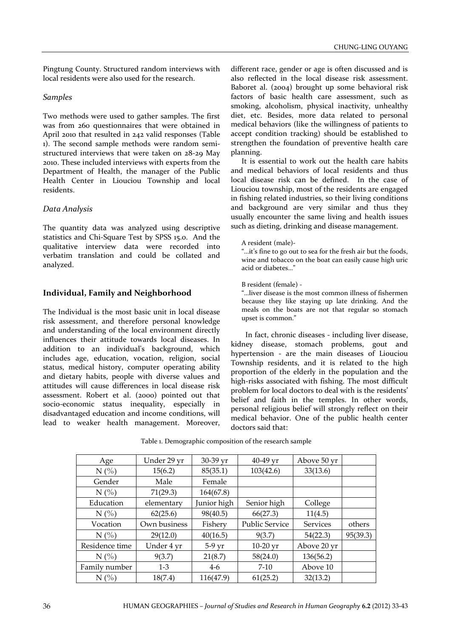Pingtung County. Structured random interviews with local residents were also used for the research.

## *Samples*

Two methods were used to gather samples. The first was from 260 questionnaires that were obtained in April 2010 that resulted in 242 valid responses (Table 1). The second sample methods were random semistructured interviews that were taken on 28-29 May 2010. These included interviews with experts from the Department of Health, the manager of the Public Health Center in Liouciou Township and local residents.

## *Data Analysis*

The quantity data was analyzed using descriptive statistics and Chi-Square Test by SPSS 15.0. And the qualitative interview data were recorded into verbatim translation and could be collated and analyzed.

# **Individual, Family and Neighborhood**

The Individual is the most basic unit in local disease risk assessment, and therefore personal knowledge and understanding of the local environment directly influences their attitude towards local diseases. In addition to an individual's background, which includes age, education, vocation, religion, social status, medical history, computer operating ability and dietary habits, people with diverse values and attitudes will cause differences in local disease risk assessment. Robert et al. (2000) pointed out that socio-economic status inequality, especially in disadvantaged education and income conditions, will lead to weaker health management. Moreover,

different race, gender or age is often discussed and is also reflected in the local disease risk assessment. Baboret al. (2004) brought up some behavioral risk factors of basic health care assessment, such as smoking, alcoholism, physical inactivity, unhealthy diet, etc. Besides, more data related to personal medical behaviors (like the willingness of patients to accept condition tracking) should be established to strengthen the foundation of preventive health care planning.

It is essential to work out the health care habits and medical behaviors of local residents and thus local disease risk can be defined. In the case of Liouciou township, most of the residents are engaged in fishing related industries, so their living conditions and background are very similar and thus they usually encounter the same living and health issues such as dieting, drinking and disease management.

### A resident (male)-

"…it's fine to go out to sea for the fresh air but the foods, wine and tobacco on the boat can easily cause high uric acid or diabetes…"

## B resident (female) -

"…liver disease is the most common illness of fishermen because they like staying up late drinking. And the meals on the boats are not that regular so stomach upset is common."

 In fact, chronic diseases - including liver disease, kidney disease, stomach problems, gout and hypertension - are the main diseases of Liouciou Township residents, and it is related to the high proportion of the elderly in the population and the high-risks associated with fishing. The most difficult problem for local doctors to deal with is the residents' belief and faith in the temples. In other words, personal religious belief will strongly reflect on their medical behavior. One of the public health center doctors said that:

| Age            | Under 29 yr  | 30-39 yr         | 40-49 yr       | Above 50 yr     |          |
|----------------|--------------|------------------|----------------|-----------------|----------|
| $N$ (%)        | 15(6.2)      | 85(35.1)         | 103(42.6)      | 33(13.6)        |          |
| Gender         | Male         | Female           |                |                 |          |
| $N$ (%)        | 71(29.3)     | 164(67.8)        |                |                 |          |
| Education      | elementary   | Junior high      | Senior high    | College         |          |
| N(%            | 62(25.6)     | 98(40.5)         | 66(27.3)       | 11(4.5)         |          |
| Vocation       | Own business | Fishery          | Public Service | <b>Services</b> | others   |
| $N$ (%)        | 29(12.0)     | 40(16.5)         | 9(3.7)         | 54(22.3)        | 95(39.3) |
| Residence time | Under 4 yr   | $5-9 \text{ yr}$ | $10-20$ yr     | Above 20 yr     |          |
| $N$ (%)        | 9(3.7)       | 21(8.7)          | 58(24.0)       | 136(56.2)       |          |
| Family number  | $1-3$        | $4-6$            | $7-10$         | Above 10        |          |
| N(%            | 18(7.4)      | 116(47.9)        | 61(25.2)       | 32(13.2)        |          |

Table 1. Demographic composition of the research sample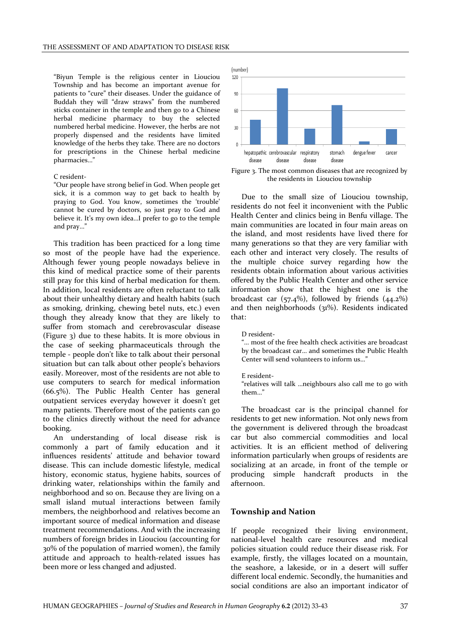"Biyun Temple is the religious center in Liouciou Township and has become an important avenue for patients to "cure" their diseases. Under the guidance of Buddah they will "draw straws" from the numbered sticks container in the temple and then go to a Chinese herbal medicine pharmacy to buy the selected numbered herbal medicine. However, the herbs are not properly dispensed and the residents have limited knowledge of the herbs they take. There are no doctors for prescriptions in the Chinese herbal medicine pharmacies…"

#### C resident-

"Our people have strong belief in God. When people get sick, it is a common way to get back to health by praying to God. You know, sometimes the 'trouble' cannot be cured by doctors, so just pray to God and believe it. It's my own idea…I prefer to go to the temple and pray…"

This tradition has been practiced for a long time so most of the people have had the experience. Although fewer young people nowadays believe in this kind of medical practice some of their parents still pray for this kind of herbal medication for them. In addition, local residents are often reluctant to talk about their unhealthy dietary and health habits (such as smoking, drinking, chewing betel nuts, etc.) even though they already know that they are likely to suffer from stomach and cerebrovascular disease (Figure 3) due to these habits. It is more obvious in the case of seeking pharmaceuticals through the temple - people don't like to talk about their personal situation but can talk about other people's behaviors easily. Moreover, most of the residents are not able to use computers to search for medical information (66.5%). The Public Health Center has general outpatient services everyday however it doesn't get many patients. Therefore most of the patients can go to the clinics directly without the need for advance booking.

An understanding of local disease risk is commonly a part of family education and it influences residents' attitude and behavior toward disease. This can include domestic lifestyle, medical history, economic status, hygiene habits, sources of drinking water, relationships within the family and neighborhood and so on. Because they are living on a small island mutual interactions between family members, the neighborhood and relatives become an important source of medical information and disease treatment recommendations. And with the increasing numbers of foreign brides in Liouciou (accounting for 30% of the population of married women), the family attitude and approach to health-related issues has been more or less changed and adjusted.



Figure 3. The most common diseases that are recognized by the residents in Liouciou township

Due to the small size of Liouciou township, residents do not feel it inconvenient with the Public Health Center and clinics being in Benfu village. The main communities are located in four main areas on the island, and most residents have lived there for many generations so that they are very familiar with each other and interact very closely. The results of the multiple choice survey regarding how the residents obtain information about various activities offered by the Public Health Center and other service information show that the highest one is the broadcast car  $(57.4\%)$ , followed by friends  $(44.2\%)$ and then neighborhoods (31%). Residents indicated that:

D resident-

"… most of the free health check activities are broadcast by the broadcast car… and sometimes the Public Health Center will send volunteers to inform us…"

#### E resident-

"relatives will talk …neighbours also call me to go with them…"

The broadcast car is the principal channel for residents to get new information. Not only news from the government is delivered through the broadcast car but also commercial commodities and local activities. It is an efficient method of delivering information particularly when groups of residents are socializing at an arcade, in front of the temple or producing simple handcraft products in the afternoon.

### **Township and Nation**

If people recognized their living environment, national-level health care resources and medical policies situation could reduce their disease risk. For example, firstly, the villages located on a mountain, the seashore, a lakeside, or in a desert will suffer different local endemic. Secondly, the humanities and social conditions are also an important indicator of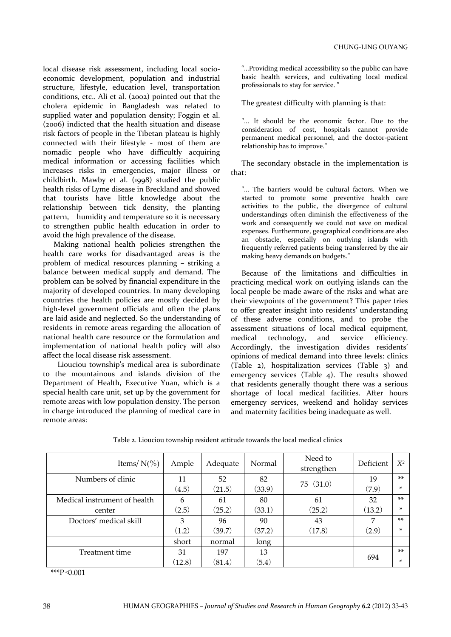local disease risk assessment, including local socioeconomic development, population and industrial structure, lifestyle, education level, transportation conditions, etc.. Ali et al. (2002) pointed out that the cholera epidemic in Bangladesh was related to supplied water and population density; Foggin et al. (2006) indicted that the health situation and disease risk factors of people in the Tibetan plateau is highly connected with their lifestyle - most of them are nomadic people who have difficultly acquiring medical information or accessing facilities which increases risks in emergencies, major illness or childbirth. Mawby et al. (1998) studied the public health risks of Lyme disease in Breckland and showed that tourists have little knowledge about the relationship between tick density, the planting pattern, humidity and temperature so it is necessary to strengthen public health education in order to avoid the high prevalence of the disease.

Making national health policies strengthen the health care works for disadvantaged areas is the problem of medical resources planning – striking a balance between medical supply and demand. The problem can be solved by financial expenditure in the majority of developed countries. In many developing countries the health policies are mostly decided by high-level government officials and often the plans are laid aside and neglected. So the understanding of residents in remote areas regarding the allocation of national health care resource or the formulation and implementation of national health policy will also affect the local disease risk assessment.

 Liouciou township's medical area is subordinate to the mountainous and islands division of the Department of Health, Executive Yuan, which is a special health care unit, set up by the government for remote areas with low population density. The person in charge introduced the planning of medical care in remote areas:

"…Providing medical accessibility so the public can have basic health services, and cultivating local medical professionals to stay for service. "

The greatest difficulty with planning is that:

"... It should be the economic factor. Due to the consideration of cost, hospitals cannot provide permanent medical personnel, and the doctor-patient relationship has to improve."

The secondary obstacle in the implementation is that:

"... The barriers would be cultural factors. When we started to promote some preventive health care activities to the public, the divergence of cultural understandings often diminish the effectiveness of the work and consequently we could not save on medical expenses. Furthermore, geographical conditions are also an obstacle, especially on outlying islands with frequently referred patients being transferred by the air making heavy demands on budgets."

Because of the limitations and difficulties in practicing medical work on outlying islands can the local people be made aware of the risks and what are their viewpoints of the government? This paper tries to offer greater insight into residents' understanding of these adverse conditions, and to probe the assessment situations of local medical equipment, medical technology, and service efficiency. Accordingly, the investigation divides residents' opinions of medical demand into three levels: clinics (Table 2), hospitalization services (Table 3) and emergency services (Table 4). The results showed that residents generally thought there was a serious shortage of local medical facilities. After hours emergency services, weekend and holiday services and maternity facilities being inadequate as well.

| Items/ $N(\% )$              | Ample  | Adequate | Normal | Need to<br>strengthen | Deficient | $X^2$ |
|------------------------------|--------|----------|--------|-----------------------|-----------|-------|
| Numbers of clinic            | 11     | 52       | 82     | 75(31.0)              | 19        | $**$  |
|                              | (4.5)  | (21.5)   | (33.9) |                       | (7.9)     | ×     |
| Medical instrument of health | 6      | 61       | 80     | 61                    | 32        | $**$  |
| center                       | (2.5)  | (25.2)   | (33.1) | (25.2)                | (13.2)    | ×     |
| Doctors' medical skill       | 3      | 96       | 90     | 43                    | 7         | $**$  |
|                              | (1.2)  | (39.7)   | (37.2) | (17.8)                | (2.9)     | ×.    |
|                              | short  | normal   | long   |                       |           |       |
| Treatment time               | 31     | 197      | 13     |                       | 694       | $**$  |
|                              | (12.8) | (81.4)   | (5.4)  |                       |           | ×.    |

Table 2. Liouciou township resident attitude towards the local medical clinics

\*\*\*P<0.001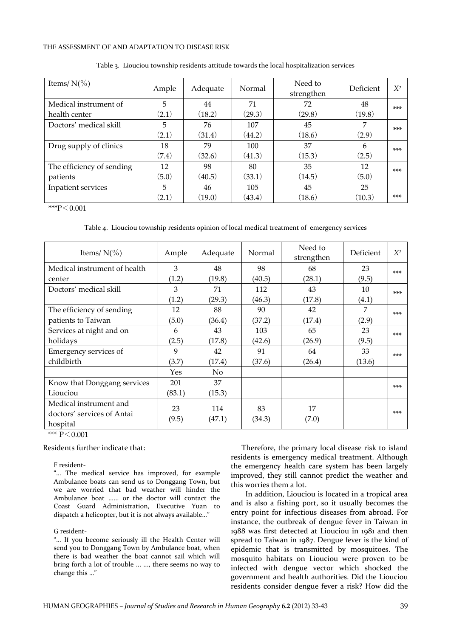### THE ASSESSMENT OF AND ADAPTATION TO DISEASE RISK

| Items/ $N(\% )$           | Ample | Adequate | Normal | Need to<br>strengthen | Deficient | $X^2$ |
|---------------------------|-------|----------|--------|-----------------------|-----------|-------|
| Medical instrument of     | 5     | 44       | 71     | 72                    | 48        | $***$ |
| health center             | (2.1) | (18.2)   | (29.3) | (29.8)                | (19.8)    |       |
| Doctors' medical skill    | 5     | 76       | 107    | 45                    | 7         | $***$ |
|                           | (2.1) | (31.4)   | (44.2) | (18.6)                | (2.9)     |       |
| Drug supply of clinics    | 18    | 79       | 100    | 37                    | 6         | $***$ |
|                           | (7.4) | (32.6)   | (41.3) | (15.3)                | (2.5)     |       |
| The efficiency of sending | 12    | 98       | 80     | 35                    | 12        | $***$ |
| patients                  | (5.0) | (40.5)   | (33.1) | (14.5)                | (5.0)     |       |
| Inpatient services        | 5     | 46       | 105    | 45                    | 25        |       |
|                           | (2.1) | (19.0)   | (43.4) | (18.6)                | (10.3)    | $***$ |

|  |  | Table 3. Liouciou township residents attitude towards the local hospitalization services |  |
|--|--|------------------------------------------------------------------------------------------|--|
|  |  |                                                                                          |  |

 $***P<0.001$ 

### Table 4. Liouciou township residents opinion of local medical treatment of emergency services

| Items/ $N(\% )$                                                  | Ample       | Adequate      | Normal       | Need to<br>strengthen | Deficient | $X^2$ |
|------------------------------------------------------------------|-------------|---------------|--------------|-----------------------|-----------|-------|
| Medical instrument of health                                     | 3           | 48            | 98           | 68                    | 23        | $***$ |
| center                                                           | (1.2)       | (19.8)        | (40.5)       | (28.1)                | (9.5)     |       |
| Doctors' medical skill                                           | 3           | 71            | 112          | 43                    | 10        | $***$ |
|                                                                  | (1.2)       | (29.3)        | (46.3)       | (17.8)                | (4.1)     |       |
| The efficiency of sending                                        | 12          | 88            | 90           | 42                    | 7         | $***$ |
| patients to Taiwan                                               | (5.0)       | (36.4)        | (37.2)       | (17.4)                | (2.9)     |       |
| Services at night and on                                         | 6           | 43            | 103          | 65                    | 23        | $***$ |
| holidays                                                         | (2.5)       | (17.8)        | (42.6)       | (26.9)                | (9.5)     |       |
| Emergency services of                                            | 9           | 42            | 91           | 64                    | 33        | $***$ |
| childbirth                                                       | (3.7)       | (17.4)        | (37.6)       | (26.4)                | (13.6)    |       |
|                                                                  | Yes         | No.           |              |                       |           |       |
| Know that Donggang services                                      | 201         | 37            |              |                       |           | $***$ |
| Liouciou                                                         | (83.1)      | (15.3)        |              |                       |           |       |
| Medical instrument and<br>doctors' services of Antai<br>hospital | 23<br>(9.5) | 114<br>(47.1) | 83<br>(34.3) | 17<br>(7.0)           |           | $***$ |

\*\*\*  $P < 0.001$ 

Residents further indicate that:

F resident-

"… The medical service has improved, for example Ambulance boats can send us to Donggang Town, but we are worried that bad weather will hinder the Ambulance boat ...... or the doctor will contact the Coast Guard Administration, Executive Yuan to dispatch a helicopter, but it is not always available…"

### G resident-

"… If you become seriously ill the Health Center will send you to Donggang Town by Ambulance boat, when there is bad weather the boat cannot sail which will bring forth a lot of trouble ... ..., there seems no way to change this …"

Therefore, the primary local disease risk to island residents is emergency medical treatment. Although the emergency health care system has been largely improved, they still cannot predict the weather and this worries them a lot.

 In addition, Liouciou is located in a tropical area and is also a fishing port, so it usually becomes the entry point for infectious diseases from abroad. For instance, the outbreak of dengue fever in Taiwan in 1988 was first detected at Liouciou in 1981 and then spread to Taiwan in 1987. Dengue fever is the kind of epidemic that is transmitted by mosquitoes. The mosquito habitats on Liouciou were proven to be infected with dengue vector which shocked the government and health authorities. Did the Liouciou residents consider dengue fever a risk? How did the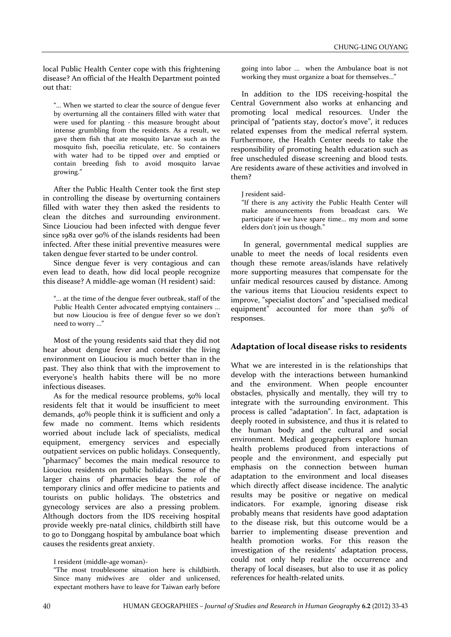local Public Health Center cope with this frightening disease? An official of the Health Department pointed out that:

"… When we started to clear the source of dengue fever by overturning all the containers filled with water that were used for planting - this measure brought about intense grumbling from the residents. As a result, we gave them fish that ate mosquito larvae such as the mosquito fish, poecilia reticulate, etc. So containers with water had to be tipped over and emptied or contain breeding fish to avoid mosquito larvae growing."

After the Public Health Center took the first step in controlling the disease by overturning containers filled with water they then asked the residents to clean the ditches and surrounding environment. Since Liouciou had been infected with dengue fever since 1982 over 90% of the islands residents had been infected. After these initial preventive measures were taken dengue fever started to be under control.

Since dengue fever is very contagious and can even lead to death, how did local people recognize this disease? A middle-age woman (H resident) said:

"… at the time of the dengue fever outbreak, staff of the Public Health Center advocated emptying containers ... but now Liouciou is free of dengue fever so we don't need to worry …"

Most of the young residents said that they did not hear about dengue fever and consider the living environment on Liouciou is much better than in the past. They also think that with the improvement to everyone's health habits there will be no more infectious diseases.

As for the medical resource problems, 50% local residents felt that it would be insufficient to meet demands, 40% people think it is sufficient and only a few made no comment. Items which residents worried about include lack of specialists, medical equipment, emergency services and especially outpatient services on public holidays. Consequently, "pharmacy" becomes the main medical resource to Liouciou residents on public holidays. Some of the larger chains of pharmacies bear the role of temporary clinics and offer medicine to patients and tourists on public holidays. The obstetrics and gynecology services are also a pressing problem. Although doctors from the IDS receiving hospital provide weekly pre-natal clinics, childbirth still have to go to Donggang hospital by ambulance boat which causes the residents great anxiety.

"The most troublesome situation here is childbirth. Since many midwives are older and unlicensed, expectant mothers have to leave for Taiwan early before going into labor ... when the Ambulance boat is not working they must organize a boat for themselves…"

In addition to the IDS receiving-hospital the Central Government also works at enhancing and promoting local medical resources. Under the principal of "patients stay, doctor's move", it reduces related expenses from the medical referral system. Furthermore, the Health Center needs to take the responsibility of promoting health education such as free unscheduled disease screening and blood tests. Are residents aware of these activities and involved in them?

J resident said-

"If there is any activity the Public Health Center will make announcements from broadcast cars. We participate if we have spare time… my mom and some elders don't join us though."

In general, governmental medical supplies are unable to meet the needs of local residents even though these remote areas/islands have relatively more supporting measures that compensate for the unfair medical resources caused by distance. Among the various items that Liouciou residents expect to improve, "specialist doctors" and "specialised medical equipment" accounted for more than 50% of responses.

# **Adaptation of local disease risks to residents**

What we are interested in is the relationships that develop with the interactions between humankind and the environment. When people encounter obstacles, physically and mentally, they will try to integrate with the surrounding environment. This process is called "adaptation". In fact, adaptation is deeply rooted in subsistence, and thus it is related to the human body and the cultural and social environment. Medical geographers explore human health problems produced from interactions of people and the environment, and especially put emphasis on the connection between human adaptation to the environment and local diseases which directly affect disease incidence. The analytic results may be positive or negative on medical indicators. For example, ignoring disease risk probably means that residents have good adaptation to the disease risk, but this outcome would be a barrier to implementing disease prevention and health promotion works. For this reason the investigation of the residents' adaptation process, could not only help realize the occurrence and therapy of local diseases, but also to use it as policy references for health-related units.

I resident (middle-age woman)-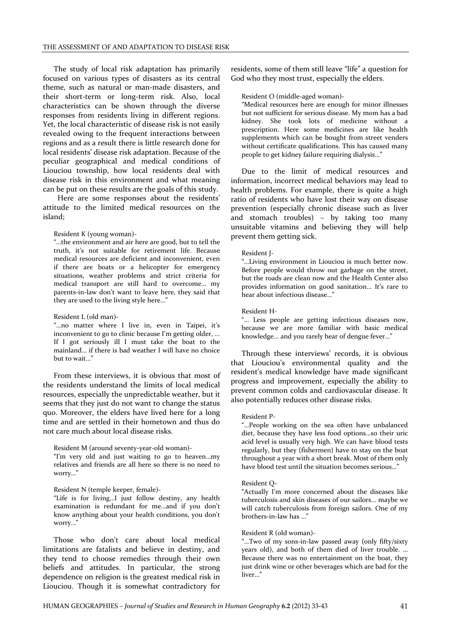The study of local risk adaptation has primarily focused on various types of disasters as its central theme, such as natural or man-made disasters, and their short-term or long-term risk. Also, local characteristics can be shown through the diverse responses from residents living in different regions. Yet, the local characteristic of disease risk is not easily revealed owing to the frequent interactions between regions and as a result there is little research done for local residents' disease risk adaptation. Because of the peculiar geographical and medical conditions of Liouciou township, how local residents deal with disease risk in this environment and what meaning can be put on these results are the goals of this study.

 Here are some responses about the residents' attitude to the limited medical resources on the island;

#### Resident K (young woman)-

"…the environment and air here are good, but to tell the truth, it's not suitable for retirement life. Because medical resources are deficient and inconvenient, even if there are boats or a helicopter for emergency situations, weather problems and strict criteria for medical transport are still hard to overcome… my parents-in-law don't want to leave here, they said that they are used to the living style here…"

### Resident L (old man)-

"…no matter where I live in, even in Taipei, it's inconvenient to go to clinic because I'm getting older, ... If I got seriously ill I must take the boat to the mainland… if there is bad weather I will have no choice but to wait…"

From these interviews, it is obvious that most of the residents understand the limits of local medical resources, especially the unpredictable weather, but it seems that they just do not want to change the status quo. Moreover, the elders have lived here for a long time and are settled in their hometown and thus do not care much about local disease risks.

Resident M (around seventy-year-old woman)-

"I'm very old and just waiting to go to heaven…my relatives and friends are all here so there is no need to worry…"

#### Resident N (temple keeper, female)-

"Life is for living…I just follow destiny, any health examination is redundant for me…and if you don't know anything about your health conditions, you don't worry…"

Those who don't care about local medical limitations are fatalists and believe in destiny, and they tend to choose remedies through their own beliefs and attitudes. In particular, the strong dependence on religion is the greatest medical risk in Liouciou. Though it is somewhat contradictory for

residents, some of them still leave "life" a question for God who they most trust, especially the elders.

Resident O (middle-aged woman)-

"Medical resources here are enough for minor illnesses but not sufficient for serious disease. My mom has a bad kidney. She took lots of medicine without a prescription. Here some medicines are like health supplements which can be bought from street venders without certificate qualifications. This has caused many people to get kidney failure requiring dialysis…"

Due to the limit of medical resources and information, incorrect medical behaviors may lead to health problems. For example, there is quite a high ratio of residents who have lost their way on disease prevention (especially chronic disease such as liver and stomach troubles) – by taking too many unsuitable vitamins and believing they will help prevent them getting sick.

### Resident J-

"…Living environment in Liouciou is much better now. Before people would throw out garbage on the street, but the roads are clean now and the Health Center also provides information on good sanitation… It's rare to hear about infectious disease…"

Resident H-

"… Less people are getting infectious diseases now, because we are more familiar with basic medical knowledge... and you rarely hear of dengue fever…"

Through these interviews' records, it is obvious that Liouciou's environmental quality and the resident's medical knowledge have made significant progress and improvement, especially the ability to prevent common colds and cardiovascular disease. It also potentially reduces other disease risks.

#### Resident P-

"…People working on the sea often have unbalanced diet, because they have less food options…so their uric acid level is usually very high. We can have blood tests regularly, but they (fishermen) have to stay on the boat throughout a year with a short break. Most of them only have blood test until the situation becomes serious…"

#### Resident Q-

"Actually I'm more concerned about the diseases like tuberculosis and skin diseases of our sailors... maybe we will catch tuberculosis from foreign sailors. One of my brothers-in-law has …"

### Resident R (old woman)-

"…Two of my sons-in-law passed away (only fifty/sixty years old), and both of them died of liver trouble. … Because there was no entertainment on the boat, they just drink wine or other beverages which are bad for the liver…"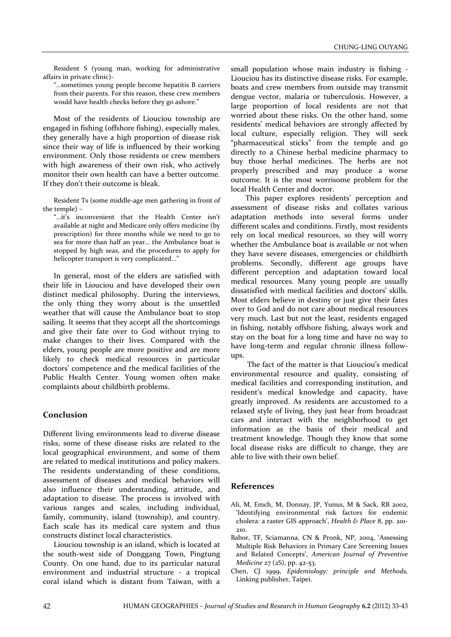Resident S (young man, working for administrative affairs in private clinic)-

"…sometimes young people become hepatitis B carriers from their parents. For this reason, these crew members would have health checks before they go ashore."

Most of the residents of Liouciou township are engaged in fishing (offshore fishing), especially males, they generally have a high proportion of disease risk since their way of life is influenced by their working environment. Only those residents or crew members with high awareness of their own risk, who actively monitor their own health can have a better outcome. If they don't their outcome is bleak.

Resident Ts (some middle-age men gathering in front of the temple) –

"…it's inconvenient that the Health Center isn't available at night and Medicare only offers medicine (by prescription) for three months while we need to go to sea for more than half an year… the Ambulance boat is stopped by high seas, and the procedures to apply for helicopter transport is very complicated…"

In general, most of the elders are satisfied with their life in Liouciou and have developed their own distinct medical philosophy. During the interviews, the only thing they worry about is the unsettled weather that will cause the Ambulance boat to stop sailing. It seems that they accept all the shortcomings and give their fate over to God without trying to make changes to their lives. Compared with the elders, young people are more positive and are more likely to check medical resources in particular doctors' competence and the medical facilities of the Public Health Center. Young women often make complaints about childbirth problems.

# **Conclusion**

Different living environments lead to diverse disease risks, some of these disease risks are related to the local geographical environment, and some of them are related to medical institutions and policy makers. The residents understanding of these conditions, assessment of diseases and medical behaviors will also influence their understanding, attitude, and adaptation to disease. The process is involved with various ranges and scales, including individual, family, community, island (township), and country. Each scale has its medical care system and thus constructs distinct local characteristics.

Liouciou township is an island, which is located at the south-west side of Donggang Town, Pingtung County. On one hand, due to its particular natural environment and industrial structure - a tropical coral island which is distant from Taiwan, with a

small population whose main industry is fishing - Liouciou has its distinctive disease risks. For example, boats and crew members from outside may transmit dengue vector, malaria or tuberculosis. However, a large proportion of local residents are not that worried about these risks. On the other hand, some residents' medical behaviors are strongly affected by local culture, especially religion. They will seek "pharmaceutical sticks" from the temple and go directly to a Chinese herbal medicine pharmacy to buy those herbal medicines. The herbs are not properly prescribed and may produce a worse outcome. It is the most worrisome problem for the local Health Center and doctor.

 This paper explores residents' perception and assessment of disease risks and collates various adaptation methods into several forms under different scales and conditions. Firstly, most residents rely on local medical resources, so they will worry whether the Ambulance boat is available or not when they have severe diseases, emergencies or childbirth problems. Secondly, different age groups have different perception and adaptation toward local medical resources. Many young people are usually dissatisfied with medical facilities and doctors' skills. Most elders believe in destiny or just give their fates over to God and do not care about medical resources very much. Last but not the least, residents engaged in fishing, notably offshore fishing, always work and stay on the boat for a long time and have no way to have long-term and regular chronic illness followups.

 The fact of the matter is that Liouciou's medical environmental resource and quality, consisting of medical facilities and corresponding institution, and resident's medical knowledge and capacity, have greatly improved. As residents are accustomed to a relaxed style of living, they just hear from broadcast cars and interact with the neighborhood to get information as the basis of their medical and treatment knowledge. Though they know that some local disease risks are difficult to change, they are able to live with their own belief.

# **References**

- Ali, M, Emch, M, Donnay, JP, Yunus, M & Sack, RB 2002, 'Identifying environmental risk factors for endemic cholera: a raster GIS approach', *Health & Place* 8, pp. 201- 210.
- Babor, TF, Sciamanna, CN & Pronk, NP, 2004, 'Assessing Multiple Risk Behaviors in Primary Care Screening Issues and Related Concepts', *American Journal of Preventive Medicine* 27 (2S), pp. 42-53.
- Chen, CJ 1999, *Epidemiology: principle and Methods,* Linking publisher, Taipei.